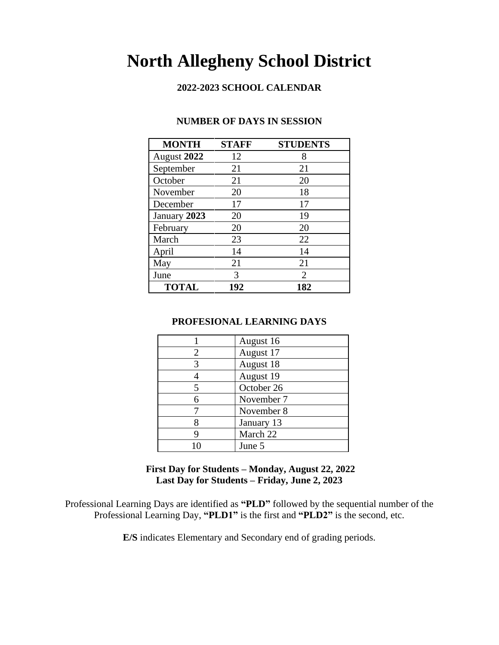# **North Allegheny School District**

#### **2022-2023 SCHOOL CALENDAR**

| <b>MONTH</b> | <b>STAFF</b> | <b>STUDENTS</b> |
|--------------|--------------|-----------------|
| August 2022  | 12           | 8               |
| September    | 21           | 21              |
| October      | 21           | 20              |
| November     | 20           | 18              |
| December     | 17           | 17              |
| January 2023 | 20           | 19              |
| February     | 20           | 20              |
| March        | 23           | 22              |
| April        | 14           | 14              |
| May          | 21           | 21              |
| June         | 3            | 2               |
| <b>TOTAL</b> | 192          | 182             |

#### **NUMBER OF DAYS IN SESSION**

#### **PROFESIONAL LEARNING DAYS**

|   | August 16  |
|---|------------|
| 2 | August 17  |
|   | August 18  |
|   | August 19  |
|   | October 26 |
|   | November 7 |
|   | November 8 |
|   | January 13 |
|   | March 22   |
|   | June 5     |

#### **First Day for Students – Monday, August 22, 2022 Last Day for Students – Friday, June 2, 2023**

Professional Learning Days are identified as **"PLD"** followed by the sequential number of the Professional Learning Day, **"PLD1"** is the first and **"PLD2"** is the second, etc.

**E/S** indicates Elementary and Secondary end of grading periods.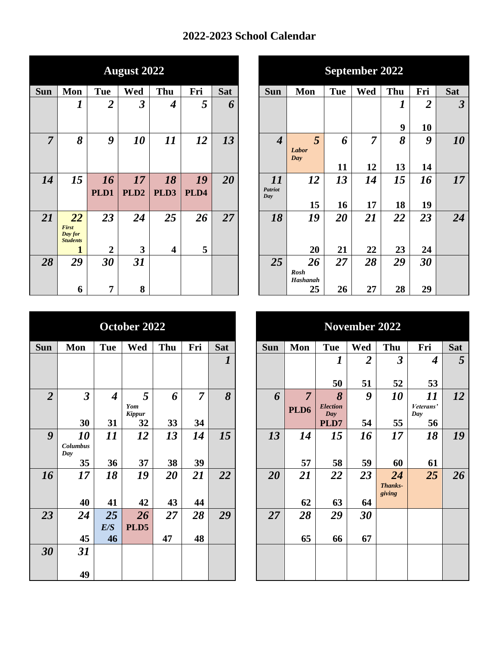## **2022-2023 School Calendar**

|                |                                            |                  | <b>August 2022</b> |                         |      |            |
|----------------|--------------------------------------------|------------------|--------------------|-------------------------|------|------------|
| Sun            | Mon                                        | <b>Tue</b>       | Wed                | Thu                     | Fri  | <b>Sat</b> |
|                | 1                                          | $\overline{2}$   | 3                  | $\boldsymbol{4}$        | 5    | 6          |
|                |                                            |                  |                    |                         |      |            |
| $\overline{7}$ | 8                                          | $\boldsymbol{g}$ | 10                 | 11                      | 12   | 13         |
|                |                                            |                  |                    |                         |      |            |
|                |                                            |                  |                    |                         |      |            |
| 14             | 15                                         | 16               | 17                 | 18                      | 19   | 20         |
|                |                                            | PLD1             | PLD <sub>2</sub>   | PLD3                    | PLD4 |            |
|                |                                            |                  |                    |                         |      |            |
| 21             | 22                                         | 23               | 24                 | 25                      | 26   | 27         |
|                | <b>First</b><br>Day for<br><b>Students</b> |                  |                    |                         |      |            |
|                |                                            | $\overline{2}$   | 3                  | $\overline{\mathbf{4}}$ | 5    |            |
| 28             | 29                                         | 30               | 31                 |                         |      |            |
|                |                                            |                  |                    |                         |      |            |
|                | 6                                          | 7                | 8                  |                         |      |            |

|                |                                            |                         | <b>August 2022</b>      |                         |      |            |
|----------------|--------------------------------------------|-------------------------|-------------------------|-------------------------|------|------------|
| $\mathbf{u}$   | Mon                                        | <b>Tue</b>              | Wed                     | Thu                     | Fri  | <b>Sat</b> |
|                | 1                                          | $\overline{\mathbf{2}}$ | $\overline{\mathbf{3}}$ | $\boldsymbol{4}$        | 5    | 6          |
|                |                                            |                         |                         |                         |      |            |
| $\overline{7}$ | 8                                          | 9                       | 10                      | 11                      | 12   | 13         |
|                |                                            |                         |                         |                         |      |            |
|                |                                            |                         |                         |                         |      |            |
| 14             | 15                                         | 16                      | 17                      | 18                      | 19   | 20         |
|                |                                            | PLD1                    | PLD <sub>2</sub>        | PLD3                    | PLD4 |            |
|                |                                            |                         |                         |                         |      |            |
| 21             | 22                                         | 23                      | 24                      | 25                      | 26   | 27         |
|                | <b>First</b><br>Day for<br><b>Students</b> |                         |                         |                         |      |            |
|                |                                            | $\overline{2}$          | 3                       | $\overline{\mathbf{4}}$ | 5    |            |
| 28             | 29                                         | 30                      | 31                      |                         |      |            |
|                |                                            |                         |                         |                         |      |            |
|                | 6                                          | 7                       | 8                       |                         |      |            |

|                |                      |                  | October 2022  |     |                |                  |
|----------------|----------------------|------------------|---------------|-----|----------------|------------------|
| <b>Sun</b>     | Mon                  | <b>Tue</b>       | Wed           | Thu | Fri            | <b>Sat</b>       |
|                |                      |                  |               |     |                | $\boldsymbol{l}$ |
|                |                      |                  |               |     |                |                  |
| $\overline{2}$ | $\boldsymbol{\beta}$ | $\boldsymbol{4}$ | 5             | 6   | $\overline{7}$ | 8                |
|                |                      |                  | Yom<br>Kippur |     |                |                  |
|                | 30                   | 31               | 32            | 33  | 34             |                  |
| 9              | 10                   | 11               | 12            | 13  | 14             | 15               |
|                | Columbus<br>Day      |                  |               |     |                |                  |
|                | 35                   | 36               | 37            | 38  | 39             |                  |
| 16             | 17                   | 18               | 19            | 20  | 21             | 22               |
|                | 40                   | 41               | 42            | 43  | 44             |                  |
| 23             | 24                   | 25               | 26            | 27  | 28             | 29               |
|                |                      | E/S              | PLD5          |     |                |                  |
|                | 45                   | 46               |               | 47  | 48             |                  |
| 30             | 31                   |                  |               |     |                |                  |
|                | 49                   |                  |               |     |                |                  |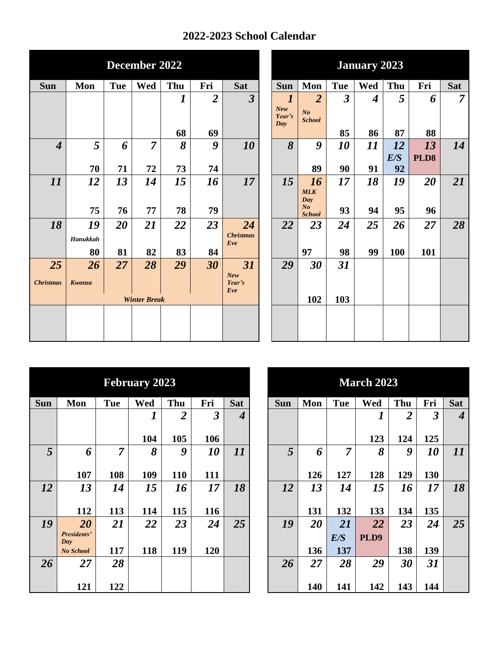## **2022-2023 School Calendar**

|                             |          |            | December 2022       |                  |                |                         | <b>January 2023</b> |                             |                                 |                |                  |            |      |                |
|-----------------------------|----------|------------|---------------------|------------------|----------------|-------------------------|---------------------|-----------------------------|---------------------------------|----------------|------------------|------------|------|----------------|
| Sun                         | Mon      | <b>Tue</b> | Wed                 | Thu              | Fri            | <b>Sat</b>              |                     | <b>Sun</b>                  | Mon                             | <b>Tue</b>     | Wed              | Thu        | Fri  | Sat            |
|                             |          |            |                     | $\boldsymbol{l}$ | $\overline{2}$ | $\overline{\mathbf{3}}$ |                     | $\boldsymbol{l}$            | $\overline{2}$                  | $\overline{3}$ | $\boldsymbol{4}$ | 5          | 6    | $\overline{7}$ |
|                             |          |            |                     |                  |                |                         |                     | <b>New</b><br>Year's<br>Day | N <sub>o</sub><br><b>School</b> |                |                  |            |      |                |
|                             |          |            |                     | 68               | 69             |                         |                     |                             |                                 | 85             | 86               | 87         | 88   |                |
| $\overline{\boldsymbol{4}}$ | 5        | 6          | $\overline{7}$      | 8                | 9              | 10                      |                     | 8                           | 9                               | 10             | 11               | 12         | 13   | 14             |
|                             |          |            |                     |                  |                |                         |                     |                             |                                 |                |                  | E/S        | PLD8 |                |
|                             | 70       | 71         | 72                  | 73               | 74             |                         |                     |                             | 89                              | 90             | 91               | 92         |      |                |
| 11                          | 12       | 13         | 14                  | 15               | 16             | 17                      |                     | 15                          | 16                              | 17             | 18               | 19         | 20   | 21             |
|                             |          |            |                     |                  |                |                         |                     |                             | <b>MLK</b><br>Day               |                |                  |            |      |                |
|                             | 75       | 76         | 77                  | 78               | 79             |                         |                     |                             | N <sub>o</sub><br><b>School</b> | 93             | 94               | 95         | 96   |                |
| 18                          | 19       | 20         | 21                  | 22               | 23             | 24                      |                     | 22                          | 23                              | 24             | 25               | 26         | 27   | 28             |
|                             | Hanukkah |            |                     |                  |                | <b>Christmas</b><br>Eve |                     |                             |                                 |                |                  |            |      |                |
|                             | 80       | 81         | 82                  | 83               | 84             |                         |                     |                             | 97                              | 98             | 99               | <b>100</b> | 101  |                |
| 25                          | 26       | 27         | 28                  | 29               | 30             | 31                      |                     | 29                          | 30                              | 31             |                  |            |      |                |
| <b>Christmas</b>            | Kwanza   |            |                     |                  |                | New<br>Year's<br>Eve    |                     |                             |                                 |                |                  |            |      |                |
|                             |          |            | <b>Winter Break</b> |                  |                |                         |                     |                             | 102                             | 103            |                  |            |      |                |
|                             |          |            |                     |                  |                |                         |                     |                             |                                 |                |                  |            |      |                |
|                             |          |            |                     |                  |                |                         |                     |                             |                                 |                |                  |            |      |                |

|            |                           |            | <b>February 2023</b> |                |                      |                  |            |     |                | <b>March 2023</b> |                |                      |
|------------|---------------------------|------------|----------------------|----------------|----------------------|------------------|------------|-----|----------------|-------------------|----------------|----------------------|
| <b>Sun</b> | Mon                       | <b>Tue</b> | Wed                  | Thu            | Fri                  | <b>Sat</b>       | <b>Sun</b> | Mon | <b>Tue</b>     | Wed               | Thu            | Fri                  |
|            |                           |            | 1                    | $\overline{2}$ | $\boldsymbol{\beta}$ | $\boldsymbol{4}$ |            |     |                | 1                 | $\overline{2}$ | $\boldsymbol{\beta}$ |
|            |                           |            |                      |                |                      |                  |            |     |                |                   |                |                      |
|            |                           |            | 104                  | 105            | 106                  |                  |            |     |                | 123               | 124            | 125                  |
| 5          | 6                         | 7          | 8                    | 9              | 10                   | 11               | 5          | 6   | $\overline{7}$ | 8                 | 9              | 10                   |
|            |                           |            |                      |                |                      |                  |            |     |                |                   |                |                      |
|            | 107                       | 108        | 109                  | 110            | 111                  |                  |            | 126 | 127            | 128               | 129            | 130                  |
| 12         | 13                        | 14         | 15                   | 16             | 17                   | 18               | 12         | 13  | 14             | 15                | 16             | 17                   |
|            |                           |            |                      |                |                      |                  |            |     |                |                   |                |                      |
|            | 112                       | 113        | 114                  | 115            | 116                  |                  |            | 131 | 132            | 133               | 134            | 135                  |
| 19         | 20                        | <b>21</b>  | 22                   | 23             | 24                   | 25               | 19         | 20  | 21             | 22                | 23             | 24                   |
|            | <b>Presidents'</b><br>Day |            |                      |                |                      |                  |            |     | E/S            | PLD9              |                |                      |
|            | <b>No School</b>          | 117        | 118                  | 119            | 120                  |                  |            | 136 | 137            |                   | 138            | 139                  |
| 26         | 27                        | 28         |                      |                |                      |                  | 26         | 27  | 28             | 29                | 30             | 31                   |
|            |                           |            |                      |                |                      |                  |            |     |                |                   |                |                      |
|            | 121                       | 122        |                      |                |                      |                  |            | 140 | 141            | 142               | 143            | 144                  |

|        |                | <b>February 2023</b> |                |                      |                          |            | <b>March 2023</b><br><b>Thu</b><br>Fri<br>Mon<br><b>Tue</b><br>Wed<br>$\overline{\mathbf{2}}$<br>$\boldsymbol{\beta}$<br>┸<br>123<br>125<br>124<br>5<br>$\overline{7}$<br>8<br>9<br><i><b>10</b></i><br>6 |     |      |     |     |                  |  |  |
|--------|----------------|----------------------|----------------|----------------------|--------------------------|------------|-----------------------------------------------------------------------------------------------------------------------------------------------------------------------------------------------------------|-----|------|-----|-----|------------------|--|--|
| on     | <b>Tue</b>     | Wed                  | Thu            | Fri                  | <b>Sat</b>               | <b>Sun</b> |                                                                                                                                                                                                           |     |      |     |     | <b>Sat</b>       |  |  |
|        |                | 1                    | $\overline{2}$ | $\boldsymbol{\beta}$ | $\overline{\mathcal{A}}$ |            |                                                                                                                                                                                                           |     |      |     |     | $\boldsymbol{4}$ |  |  |
|        |                | 104                  | 105            | 106                  |                          |            |                                                                                                                                                                                                           |     |      |     |     |                  |  |  |
| 6      | $\overline{7}$ | 8                    | 9              | 10                   | 11                       |            |                                                                                                                                                                                                           |     |      |     |     | 11               |  |  |
| 107    | 108            | 109                  | 110            | 111                  |                          |            | 126                                                                                                                                                                                                       | 127 | 128  | 129 | 130 |                  |  |  |
| 13     | 14             | 15                   | 16             | 17                   | 18                       | 12         | 13                                                                                                                                                                                                        | 14  | 15   | 16  | 17  | 18               |  |  |
| 112    | 113            | 114                  | 115            | 116                  |                          |            | 131                                                                                                                                                                                                       | 132 | 133  | 134 | 135 |                  |  |  |
| 20     | 21             | 22                   | 23             | 24                   | 25                       | 19         | 20                                                                                                                                                                                                        | 21  | 22   | 23  | 24  | 25               |  |  |
| lents' |                |                      |                |                      |                          |            |                                                                                                                                                                                                           | E/S | PLD9 |     |     |                  |  |  |
| hool   | 117            | 118                  | 119            | 120                  |                          |            | 136                                                                                                                                                                                                       | 137 |      | 138 | 139 |                  |  |  |
| 27     | 28             |                      |                |                      |                          | 26         | 27                                                                                                                                                                                                        | 28  | 29   | 30  | 31  |                  |  |  |
| 121    | 122            |                      |                |                      |                          |            | 140                                                                                                                                                                                                       | 141 | 142  | 143 | 144 |                  |  |  |